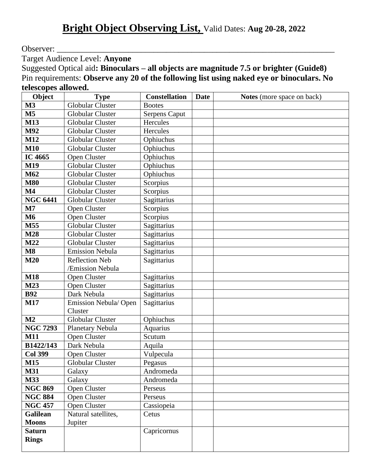Observer:

Target Audience Level: **Anyone**

Suggested Optical aid**: Binoculars – all objects are magnitude 7.5 or brighter (Guide8)** Pin requirements: **Observe any 20 of the following list using naked eye or binoculars. No telescopes allowed.**

| Object          | <b>Type</b>             | <b>Constellation</b> | <b>Date</b> | <b>Notes</b> (more space on back) |
|-----------------|-------------------------|----------------------|-------------|-----------------------------------|
| M <sub>3</sub>  | <b>Globular Cluster</b> | <b>Bootes</b>        |             |                                   |
| M <sub>5</sub>  | Globular Cluster        | <b>Serpens Caput</b> |             |                                   |
| M13             | Globular Cluster        | Hercules             |             |                                   |
| M92             | <b>Globular Cluster</b> | Hercules             |             |                                   |
| M12             | <b>Globular Cluster</b> | Ophiuchus            |             |                                   |
| <b>M10</b>      | Globular Cluster        | Ophiuchus            |             |                                   |
| IC 4665         | Open Cluster            | Ophiuchus            |             |                                   |
| M19             | <b>Globular Cluster</b> | Ophiuchus            |             |                                   |
| M62             | <b>Globular Cluster</b> | Ophiuchus            |             |                                   |
| <b>M80</b>      | Globular Cluster        | Scorpius             |             |                                   |
| M <sub>4</sub>  | <b>Globular Cluster</b> | Scorpius             |             |                                   |
| <b>NGC 6441</b> | Globular Cluster        | Sagittarius          |             |                                   |
| $\mathbf{M}$    | Open Cluster            | Scorpius             |             |                                   |
| <b>M6</b>       | Open Cluster            | Scorpius             |             |                                   |
| M55             | <b>Globular Cluster</b> | Sagittarius          |             |                                   |
| <b>M28</b>      | <b>Globular Cluster</b> | Sagittarius          |             |                                   |
| M22             | <b>Globular Cluster</b> | Sagittarius          |             |                                   |
| $\mathbf{M8}$   | <b>Emission Nebula</b>  | Sagittarius          |             |                                   |
| M20             | <b>Reflection Neb</b>   | Sagittarius          |             |                                   |
|                 | /Emission Nebula        |                      |             |                                   |
| <b>M18</b>      | Open Cluster            | Sagittarius          |             |                                   |
| M23             | Open Cluster            | Sagittarius          |             |                                   |
| <b>B92</b>      | Dark Nebula             | Sagittarius          |             |                                   |
| <b>M17</b>      | Emission Nebula/Open    | Sagittarius          |             |                                   |
|                 | Cluster                 |                      |             |                                   |
| M2              | <b>Globular Cluster</b> | Ophiuchus            |             |                                   |
| <b>NGC 7293</b> | Planetary Nebula        | Aquarius             |             |                                   |
| <b>M11</b>      | Open Cluster            | Scutum               |             |                                   |
| B1422/143       | Dark Nebula             | Aquila               |             |                                   |
| <b>Col 399</b>  | Open Cluster            | Vulpecula            |             |                                   |
| <b>M15</b>      | Globular Cluster        | Pegasus              |             |                                   |
| <b>M31</b>      | Galaxy                  | Andromeda            |             |                                   |
| <b>M33</b>      | Galaxy                  | Andromeda            |             |                                   |
| <b>NGC 869</b>  | Open Cluster            | Perseus              |             |                                   |
| <b>NGC 884</b>  | Open Cluster            | Perseus              |             |                                   |
| <b>NGC 457</b>  | Open Cluster            | Cassiopeia           |             |                                   |
| <b>Galilean</b> | Natural satellites,     | Cetus                |             |                                   |
| <b>Moons</b>    | Jupiter                 |                      |             |                                   |
| <b>Saturn</b>   |                         | Capricornus          |             |                                   |
| <b>Rings</b>    |                         |                      |             |                                   |
|                 |                         |                      |             |                                   |